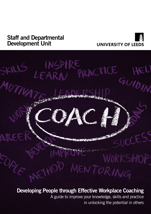# Staff and Departmental Development Unit





Developing People through Effective Workplace Coaching A guide to improve your knowledge, skills and practice in unlocking the potential in others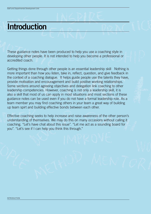# Introduction

These guidance notes have been produced to help you use a coaching style in developing other people. It is not intended to help you become a professional or accredited coach.

Getting things done through other people is an essential leadership skill Nothing is more important than how you listen, take in, reflect, question, and give feedback in the context of a coaching dialogue. It helps guide people use the talents they have, provide motivation and encouragement and build positive working relationships. Some sections around agreeing objectives and delegation link coaching to other leadership competencies. However, coaching is not only a leadership skill, it is also a skill that most of us can apply in most situations and most sections of these guidance notes can be used even if you do not have a formal leadership role. As a team member you may find coaching others in your team a great way of building up team spirt and building effective bonds between each other.

Effective coaching seeks to help increase and raise awareness of the other person's understanding of themselves. We may do this on many occasions without calling it coaching. "Let's have chat about this issue". "Let me act as a sounding board for you". "Let's see if I can help you think this through."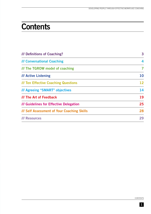# **Contents**

| /// Definitions of Coaching?                | $\mathbf{3}$ |
|---------------------------------------------|--------------|
| <b>/// Conversational Coaching</b>          | 4            |
| /// The TGROW model of coaching             | 7            |
| <b>/// Active Listening</b>                 | 10           |
| <b>/// Ten Effective Coaching Questions</b> | 12           |
| /// Agreeing "SMART" objectives             | 14           |
| /// The Art of Feedback                     | 19           |
| /// Guidelines for Effective Delegation     | 25           |
| /// Self Assessment of Your Coaching Skills | 28           |
| <b>/// Resources</b>                        | 29           |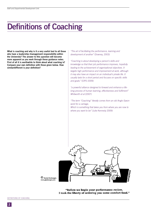# Definitions of Coaching

What is coaching and why is it a very useful tool to all those who have a leadership /management responsibility within the University? The answer to this question will become more apparent as you work through these guidance notes. First of all it is worthwhile to think about what coaching is? Compare your own definition with those given below. How similar/different is your definition?

*"The art of facilitating the performance, learning and development of another"* (Downey, 2003)

*"Coaching is about developing a person's skills and knowledge so that their job performance improves, hopefully leading to the achievement of organisational objectives. It targets high performance and improvement at work, although it may also have an impact on an individual's private life. It usually lasts for a short period and focuses on specific skills and goals."* (CIPD 2009)

*"a powerful alliance designed to forward and enhance a lifelong process of human learning, effectiveness and fulfilment" Whitworth et al* (2007)

*"The term "Coaching" literally comes from an old Anglo-Saxon word for a carriage,*

*Which is something that takes you from where you are now to where you want to be"* (Julie Kennedy 2009)



© Randy Glasbergen. vw.glasbergen.co

> "Before we begin your performance review, I took the liberty of ordering you some comfort food."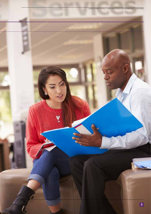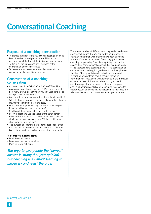# Conversational Coaching

### Purpose of a coaching conversation

- To provide attention to the key issues affecting a person's level of motivation and performance: This can be performance at the level of the individual or of the team
- To focus on the substance and relevance of the conversation to those key issues
- To create a positive feedback loop. Focus on what is working as well as what is not working.

### Construction of a coaching conversation

- Ask open questions: What? When? Where? Why? How?
- Ask probing questions: How much? When you say a lot, how many are we talking? When you say…can give me an example of what you mean?
- Caution do not appear too critical, it is not an inquisition! • Why - test out assumptions, rationalisations, values, beliefs
- etc. Why do you think that is the case? • How - when the person is vague in detail. What do you
- think you will actually need to do here?
- Start broad then increase the focus to the specifics.
- Follow interest and use the words of the other person reflected back to them "You said that you feel unable to challenge the way things are done" Tell me a little more about why you feel this way?
- The purpose of coaching is to generate responsibility for the other person to take actions to solve the problems or issues they identify as part of the coaching conversation.

#### To do this you must try not to:

- Lead the other person
- Force your own agenda on them
- Push your own solutions

*The urge to give people the "correct" answer is strong (i.e. your opinion) but coaching is all about learning so please try and resist the urge!*

There are a number of different coaching models and many specific techniques that you can add to your repertoire. However, rather than wait until you have been trained to use one of the various models of coaching, you can start coaching people today. The following 9 steps outline the essentials of conversational coaching that feature in many of the approaches to coaching people. The description of conversational coaching is a good one in that it emphasises the idea of having an informal chat with someone and in doing so helping them have a positive impact on performance or motivation, weather that be at the individual or the team level. It is not just about having a chat It is about having a chat with some structure and purpose, also using appropriate skills and techniques to achieve the desired results of a coaching conversation: To maximise the talents of the person and to enhance their performance.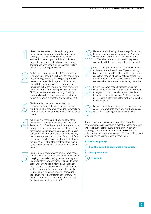Make time every day to build and strengthen the relationship and rapport you have with your colleagues. Show a genuine interest in their work and in them as people, This establishes a foundation for conversational coaching. Having good rapport with people is the essential starting point of any coaching conversation.

Rather than always waiting for staff to come to you with problems, get out and about. Ask people how they are doing. This way you will get opportunities to coach more people than you would if you only deal with those people who come to your door. Prevention rather than cure is far more productive in the long term. There is no point waiting for an SRDS review to undertake coaching. Coaching opportunities will present themselves much more frequently if you are proactive and seek them out.

Clarify whether the person would like your assistance or support to tackle the challenge in hand, or whether they are just venting there feelings about an issue to get it off their chest. Permission to coach!

Ask questions that help both you and the other person gain a more accurate picture of the issue. Tease out facts from beliefs and look at the situation through the eyes of different stakeholders to get a more complete picture of the problem. If you have additional facts or information that can help clarify the situation, share it at this time. Formal or informal feedback from others is a useful way of identifying the key issues. Solving the problem rather than a symptom can take more time but can have lasting benefits.

Ensure you are "fully present" in the conversation and give your full attention to what the other person is saying by actively listening. Active listening is not just waiting for your opportunity to speak. In some cases we can't wait and interrupt! Occasionally repeat back a summary of what you think has been said to ensure you have understood it correctly. Do not jump in with solutions or by comparing their situations with war stories of your own. "Well that happened to me once and this is what I did." (Implying you should also do this)



Help the person identify different ways forward and then help them evaluate each option. "Have you considered"…rather than "If I were you I would" …. What else have you considered? Help keep ownership with the individual rather than yourself.

Get the other person to make a firm commitment to the next steps they will take. These steps may involve a total resolution of the problem, or in some cases they may only be initial actions leading to a subsequent decision on how to solve the problem or even redefine the problem into one they can solve.

Finnish the conversation by indicating you are interested to know how it turned out and ask them to let you know. You can also extend the offer of further assistance at this time. "Let's meet again next week to explore this a little further and see how things are going."

Follow up with the person and see how things have gone. How are things now? You can begin back at step one as coaching is an iterative process.

The nine steps of coaching are examples of how the coaching process is essentially a reflective learning process. We are all busy "doing" every minute of every day and coaching represents the opportunity to STOP and think before resuming to business as usual. The role of the coach is to help this thinking process to move from:

#### 1. What is happening?



3. Choosing what to do

4. Doing it!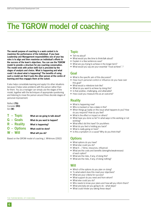# The TGROW model of coaching

The overall purpose of coaching in a work context is to maximise the performance of the individual. If you have Leadership and Management responsibilities one of your key roles is to align and then maximise an individual's efforts to the success of the team's objectives. You can use the TGROW model to provide a structure for any coaching conversation. The model ends with action (will) but is preceded by the stages of analysis and choice. What is happening and what could I do about what is happening? The benefits of using such a model are that it puts the other person at the centre of learning and thus engages them at the outset.

It also helps consolidate learning and apply it to other situations because it helps solve problems with the person rather than for them. You as a manager can simply use the stages of the model, together with the techniques of appropriate questioning and listening to move the person around three discrete stages of personal improvement.

Reflect (TG) Consider (RO) Act (W)

| $T - \text{Topic}$ | What are we going to talk about? |
|--------------------|----------------------------------|
| $G -$ Goals        | What do you want to happen?      |
| $R -$ Reality      | What is happening?               |
| <b>O</b> – Options | What could be done?              |
| $W - W$ ill        | What will you do?                |

Based on the GROW model of coaching J. Whitmore (2002)

### Topic

- Tell me about?
- What would you like time to think/talk about?
- Explain in a few sentences xxxx?
- What are you trying to achieve in the longer term?
- What would you say are your essential "must achieve". ?

#### Goal

- What is the specific aim of this discussion?
- How much personal control or influence do you have over this goal?
- What would a milestone look like?
- What do you want to achieve by doing this?
- Is that positive, challenging, and attainable?
- How could you measure this as an outcome?

### **Reality**

- What is happening now?
- Who is involved or has a stake in this?
- When things go badly on this issue what happens to you? How do you respond? How do you feel?
- What is the effect or impact on others?
- What have you done so far? In what ways is this working or not working?
- What effect did this have? On you/others
- What do you feel is holding you back?
- What is really going on here?
- Is this a symptom or a cause? Why do you think that?

#### **Options**

- What options do you have?
- What else could you do?
- What if....? (time, resources, influence)
- What are the costs and benefits (strengths/weaknesses) of each option?
- What are the risks, if any, of doing this?
- What are the risks, if any, of doing nothing?

#### Will

- Which of the options do you plan on doing?
- To what extent does this meet your objectives?
- What are your criteria for success?
- What support do you need and from whom?
- What else could you do?
- Who needs to know your plans and how will you inform them?
- What precisely are you going to do what steps?
- What could hinder you taking these steps?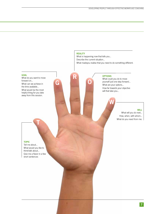#### **GOAL**

What do you want to move forward on... What can we achieve in the time available... What would be the most helpful thing for you take away from this session.

#### **REALITY**

What is happening now that tells you... Describe the current situation... What madeyou realise that you need to do something different.



O

G

#### **OPTIONS**

What could you do to move yourself just one step forward... What are your options... How far towards your objective will that take you...

W

#### WILL

What will you do next... How, when, with whom... What do you need from me.

#### TOPIC

Tell me about... What would you like to think/talk about... Give me a flavor in a few short sentences

T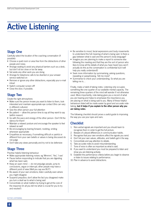# Active Listening

### Stage One

Carefully select the location of the coaching conversation (if possible):

- Choose a quiet room or area free from the distractions of other people and noise;
- Arrange seating to avoid any physical barriers such as a desk, but don't sit too close or too far away
- Set aside any other work you are doing
- Arrange for telephone calls to be diverted or your answer service switched on
- Remove or ignore any other distractions, especially your e-mail inbox!
- Switch computer screen off!
- Close the door, if possible.

### Stage Two

Create the right atmosphere:

- Make sure the person knows you want to listen to them, look interested and maintain appropriate eye contact (this can vary in different cultures)
- Give the other person your full attention
- Be patient allow the person time to say all they want to say (within reason)
- Go with the pace and energy of the other person- Don't fill the silence for them!
- Maintain a relaxed posture and encourage the speaker to feel relaxed as well
- Be encouraging by leaning forward, nodding, smiling whenever appropriate
- Empathise as necessary, if something difficult or painful or different from your own beliefs or values is being discussed do not judge
- Don't take any views personally and try not to be defensive

### Stage Three

Practise helpful listening behaviour:

- Make appropriate listening noises: eg 'Mmmm', 'Yes', 'I see'
- Pause before responding to indicate that you are digesting what has been said;
- Keep an open mind do not prejudge people, jump to conclusions, argue or interrupt; other people may have a different point of view (Well you say xxx BUT)
- Be aware of your own emotions; listen carefully even where you might disagree
- Suspend prejudice; don't allow the fact you disagreed make you turn a deaf ear to what is being said
- Concentrate on what matters by trying to get at the core of the response (In all you tell me what is crucial for you to try and resolve?)
- Be sensitive to mood, facial expressions and body movements to understand the full meaning of what is being said. Is there a gap between what is said and the person's body language?
- Imagine you are planning to make a report to someone else following the meeting and that they are the sort of person who likes to know all the details of what you have heard (you won't actually do this as the conversation is confidential but it will help you really understand!)
- Seek more information by summarising, asking questions, repeating or paraphrasing. Tell me more?
- Summarise to check your understanding. So what you are telling me is…

Finally, make a habit of taking notes. Listening only occupies something like one-quarter of our available mental capacity. The remaining three-quarters of the mind will wander if not otherwise used. More importantly, note-taking gives you a record of what you are hearing and helps to emphasize the importance you are placing on what is being said to you. Many of these helpful behaviours listed will be made easier by good and accurate notetaking, but it helps if you explain to the other person why you are taking notes.

The following checklist should prove a useful guide to improving the way you use your eyes and ears.

## **Checklist**

- 1. Non-verbal signals are important and you should learn to recognize them in order to get the full picture.
- 2. Beware of cultural differences in communication habits.
- 3. Recognise that your own emotions affect the signals you send.
- 4. Don't let your own values, attitudes, and beliefs get in the way.
- 5. Concentrate and pay attention to details.
- 6. Take accurate notes to avoid misunderstanding.
- 7. Tone of voice is often as important as what is said.
- 8. If you want to understand you must be prepared to listen and show you are listening actively.
- 9. Establish the performance criteria before you begin to observe or listen to issues relating to performance.
- 10. Plan in advance to avoid distractions.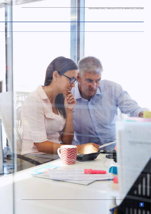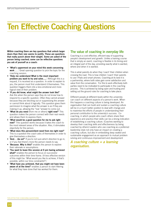# Ten Effective Coaching Questions

Within coaching there are key questions that unlock larger doors than their size seems to justify. These are questions that really punch above their weight. Some are asked of the person being coached; some can be reflective questions you ask of yourself as a coach:

- 'What's uppermost on your mind this week concerning work . . .' Great opening question to pick the topic for the coaching session.
- 'Help me understand What is the most important problem you want to try and solve.....' Although this is a request, it is received as a question. In order to explain to you, the person must first understand it themselves. This question triggers them into a less emotional and more logical view of their problem.
- 'If you did know, what might the answer look like?' Ask this when the person says they do not know how to respond to a specific question. Often they cannot answer because they are blocking out or suppressing the answer or cannot think about it logically. This question gives them permission to imagine what the answer is as if they are making it up, allowing the "real "answer to come out.
- 'What do you need (from me or others) right now?' This question makes the person connect with their real needs and allows them to express them.
- 'What would be a good question for me to ask right now?' This question works because it takes the coach to the most relevant areas of the situation. Also, it stimulates objectivity for the person.
- 'What does this person/client need from me right now?' This is a question the coach asks of themselves in order to give themselves a direction.
- 'And. . . Go on?' If you're not sure which direction to go in. or if you feel there's more the person needs to say.
- **Because. Why is this?'** enables the person to explore their rationale or assumptions.
- 'You want to leave this session at X pm having achieved what?' enables the person to focus on successful outcomes within their time frame. (A less effective version of this might be: 'What would you like to achieve, if that's possible, within our time constraints?')
- 'What have you achieved, that you might not have been aware of at the time?' enables a person to start filtering for what they have done that has worked for them.

#### The value of coaching in everyday life

Coaching is a cost-effective, efficient way of supporting people's development and growth. Unlike a training course that is simply an event, coaching is flexible in its timing and an integral part of the day, providing exactly what is wanted, where and when it is wanted.

This is what parents do when they 'coach' their children when crossing the road. This is how children 'coach' their parents to use I-Pads and smart phones. Coaching at its best it is a partnership, where both sides gain some satisfaction and value from the conversation. For this to work effectively both parties need to be motivated to participate in the coaching process. This is achieved by being open and trusting and setting out the ground rules for coaching to take place.

Different people at different levels within the university can coach on different aspects of a person's work. When this happens a coaching culture is being developed. An organisation that can build and sustain a coaching culture will be in a much better position to deal with change and to maximise the efforts of people in understanding their personal contribution to the university's success. Cocoaching, in which people who coach others share their experience and practice their skills can be a strong indication of establishing a coaching culture. (Coaches wanting to develop their coaching skills and effectiveness by being coached by others) Leaders who use coaching as a preferred leadership style not only have an impact on creating a coaching culture, but also in embedding deep seated and sustainable engagement as an approach to mutual problem solving and continuous improvement and development

#### *A coaching culture = a learning organisation.*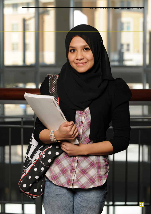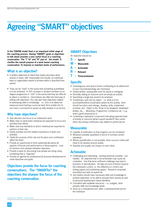# Agreeing "SMART" objectives

In the TGROW model Goal is an important initial stage of the coaching process. Having "SMART" goals or objectives to talk about provides a very useful focus in a coaching conversation. The "T "G" and "R" part of the model. It clarifies the overall purpose of a work based coaching conversation: To Improve or maintain levels of performance.

#### What is an objective?

- A written statement of intent that clearly describes what actions or tasks, with measurable end results, an individual, team or organisation wants to achieve within a specified time period.
- They can be "hard" in the sense that something quantifiable is to be achieved. A 10% increase in student numbers on xx degree programme or "soft" in the sense that they are difficult to attach a number to. Descriptions are often the best way of setting soft objectives. You may also have objectives related to developing skills or knowledge. I.e. John is to attend an advanced excel training course by Sept 16 to enable him to use macro commands to speed up data analysis in xx service

### Why have objectives?

- Give direction and focus to an individual's work
- Make clear on what tasks individual are expected to focus and prioritise their efforts
- Make clear any standards to which individual are expected to perform in their role
- Clarify priorities and the relative importance of tasks and activities
- Clarify the purpose of the role and its place and contribution within the team
- Provide an opportunity to think systematically about all aspects of the job and performance in those aspects. Look for tensions and overlaps between objectives
- Provide a basis for discussing how people are doing using something that is "objective"
- Provide an agenda for professional & personal development to meet objectives and goals

Objectives provide the focus for coaching conversations. The "SMARTer" the objectives the sharper the focus of the coaching conversation.

### SMART Objectives

An objective should be:

- S Specific
- $M -$  Measurable
	- $-$  Achievable
- $R -$  Relevant
- Timeconstrained

### **Specific**

- Unambiguous and clear to those contributing to its attainment so any misunderstandings are minimised
- Clearly written, leaving little room for doubt or ambiguity
- Normally stating an outcome and not simply an activity
- Specifying a single key result to be achieved
- Containing a verb and an object i.e. what is to be accomplished/end result/value added by the activity. Verb should be action verb (design, develop, write, implement, increase, etc). Object is the 'thing' to be designed, developed written, etc,... Workshop, Programme, Conference etc. (e.g. write a grant proposal by x)
- Containing a standards component indicating expected level of activity or outcome (what is good/ excellent? Also useful when discussing contribution pay related to performance)

### **Measurable**

- Capable of verification so that progress can be monitored
- Wherever possible quantified in terms of numbers and/or standards
- Where quantification is not possible, other success criteria will need to be devised around quality
- Quantity and quality can impact on each other

#### **Achievable**

- Challenging and interesting exciting wherever possible but realistic. An objective that is not achievable may cause demotivation. One that lacks sufficient challenge may lead to boredom or demotivation. Do take account of factors beyond the individual's control. I.e. the difference in control over writing papers and publishing papers. Research proposals submitted and bids accepted etc
- Job holders should have necessary skills and knowledge to achieve objectives, or be able to acquire them quickly as part of personal development needs identified
- Consistent with available resources i.e. budgets, other peoples skills and knowledge levels
- Serve as a motivational and, often, a developmental tool for the individual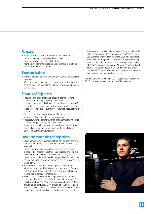#### Relevant

- Have a real application and benefit within the organisation. Linked to strategic direction and team goals
- Be within job holder's authority to deliver
- May be developmental to allow people to move to a different role in their career development

#### **Timeconstrained**

- Indicate target dates (start and end), milestones, timescales or deadlines
- Where a specific timescale is not applicable, a statement such as 'at all times', 'in accordance with laid down procedures' etc can be used.

#### Sources of objectives

- Problems and their avoidance: problem-solving where something is missing, not being done or needs to be developed; ongoing activities needed for 'business as usual'
- Possibilities and Projects: innovation opportunities on which to capitalise; new projects, initiatives, courses, modules etc to develop
- Processes: related to achieving specific measurable improvements in the outcomes of a process
- Practices: where a different way of doing something needs to be found. Helps creativity and innovation
- People: related to the management and development of staff
- Personal development: developing knowledge, skills, and abilities for current or future roles.

#### Other characteristics of objectives

- Clarity versus brevity. Work objectives can be short and sweet but this is not essential. Clarity however (to those involved) is essential.
- Broad or narrow. Work objectives can be broad or narrow in scope. For broader objectives (e.g. 'upgrade and improve the capacity and resilience of the student portal'), the measurement criteria will need to be specified with particular care so that progress and performance can be evaluated. I.e. Install x by y.
- Situational and recurring. Work objectives can address situational (e.g. one-off situations, i.e. organise a conference) or recurring work requirements (e.g. day-to-day activities i.e. teaching on a particular programme.
- Results versus activity. Work is a process with a result or outcome. Results and activity/action are not the same. Both results objectives and activity objectives can be valid but they should not be confused. Both should reflect, in measurable terms, the results of/value-added by the activity. Furthermore, people may perceive ends (end results) and means (activities

to achieve end results) differently depending on their position in the organisation. One is a measure of outcome - Have you achieved what you set out to achieve? The other is an example of an "in- process measure" - Are you achieving what you set out to achieve? It is not enough, when setting objectives, simply to discuss WHAT must be achieved and HOW. The person needs to also understand the larger context: WHY the achievement is important and where it fits into the team and organisational context.

Further guidance on writing SMART objectives as part of the SRDS process can be found on the SDDU website.

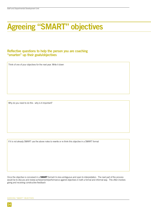# Agreeing "SMART" objectives

#### Reflective questions to help the person you are coaching "smarten" up their goals/objectives

Think of one of your objectives for the next year. Write it down

Why do you need to do this - why is it important?

If it is not already SMART use the above notes to rewrite or re think this objective in a SMART format

Once the objective is conceived in a **SMART** format it is less ambiguous and open to interpretation. The next part of the process would be to discuss and review achievement/performance against objectives in both a formal and informal way. This often involves giving and receiving constructive feedback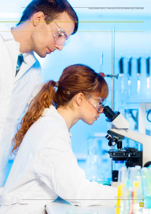DEVELOPING PEOPLE THROUGH EFFECTIVE WORKPLACE COACHING

d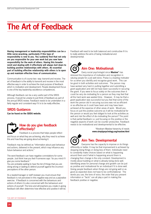# The Art of Feedback

Having management or leadership responsibilities can be a little nerve-wracking, particularly if this type of responsibility is new to you. You suddenly find that not only are you responsible for your own work but you now have responsibility for the work of others. Having this broader remit and dealing with it effectively will always boil down to building positive relationships with others. An essential part of building effective relationship with others is to open up and maintain effective lines of communication.

Communication is of course two- way: transmit and receive. The art of feedback is the ability to transmit and receive in the most effective way in order to achieve the dual purpose of feedback which is motivation and development. People development focus is one of the key leadership excellence competences.

Although feedback can be a very useful part of the SRDS process, It would be unwise to just think of feedback as part of the annual SRDS review. Feedback needs to be undertaken in a fairly regular and consistent way if it is to be really effective.

#### SRDS Guidance:

Can be found on the SDDU website.



Feedback is a process that helps people reflect

and focus on what they are achieving, why they need to achieve this and how they are going about achieving it.

Feedback may be defined as "information about past behaviour and actions, delivered in the present, which may influence any future behaviour and actions."

The word feedback can have negative connotations for some people. Just think how you feel if someone says "do you mind if I give you some feedback."

You are probably waiting to hear the list of things that you are doing wrong or waiting to defend yourself against the incorrect perceptions of the other person.

As a leader/manager or staff reviewer you must ensure that feedback is not perceived in this negative way and as a pejorative exercise. If feedback is concerned with the behaviours and actions of others it is also concerned with the behaviours and actions of yourself. The tone and atmosphere you create in giving feedback will often determine how effective and positive it will be. Feedback will need to be both balanced and constructive if it is to really address the aims of being motivational and developmental.

# Aim One: Motivational:

Every social psychologist since Maslow\* has stressed the importance of motivation and recognition in valuing people for a job well done. Praise is a leading motivator for us when you identify and recognise good work. This can be good in both activities and outcomes. The person may have worked very hard in putting together and submitting a grant application and still not have been successful in securing the grant. If you were to focus solely on the outcomes then it could be very de-motivating for a person as they may feel that all the hard work was wasted time. However, It may be that a grant application was successful but you feel that some of the work the person did In securing success was not as efficient or as effective as it could have been and may have been achieved at the expense of other areas of work. Would you focus on just the positive outcome as it will be motivational for the person or would you feel obliged to look at the activities as well and risk the effect of de-motivating the person? The point is that partial feedback i.e. just focusing on the positive or the negative aspects of work can be counter productive. Feedback needs to be motivational and developmental to be effective.

> \*Abraham Maslow hierarchy of needs www.simplypsychology.org/maslow.html

## Aim Two: Developmental

Everyone has the capacity to improve or do things differently or better. It may be that improvement is achieved by stopping doing things or doing less of them. Individuals need to constantly make choices based on what is happening around them and if what is happening around them is changing then change is the only constant. Development is mostly about building on what is already being done well. Identifying areas for personal change and growth can be just as positive and motivational for an individual if it is done well. Giving people feedback when things are not going well or as good as expected does not have to be confrontational. The words you use, the tone of voice, the order that you present information or "facts" can all play a part in making the feedback positive or negative.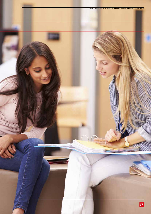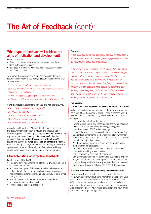# The Art of Feedback (cont)

### What type of feedback will achieve the aims of motivation and development?

Feedback that is:

- Based on observable or observed behaviour or actions
- Specific to a given situation
- Balanced in identifying what has been successful /what as been less successful

To improve the accuracy and clarity of a message during a feedback conversation, use clarifying feedback statements such as the following:

*"Let me be sure I understand what you have said."*

*"Let's see if I can review the key points we've discussed so far." "So what you are saying is…"*

*"I think I hear you saying that your central concern is…"* 

*"As I understand it, your major objectives for next year are…."*

Clarifying feedback statements can also end with the following:

*"Can I check I understand you properly?"*

*"Did I hear you correctly?"*

*"Was this in line with what you meant?"*

*"Were those your major concerns?"*

*"Can you add anything to my summary?"*

A good rule of thumb is: "When in doubt, check it out." One of the best ways to check it out is through the effective use of questioning skills. Clarifying questions, (so what you mean is...?) expansion questions, (you say... tell me more?) direction questions, (can we explore this aspect a little bit more?) fact-finding questions, (what makes you think this is the case?) feeling-finding questions, (and how did this make you feel?) and open questions (what, when, why, how?) can be used freely during conversation to test for the impact of your feedback.

### Characteristics of effective feedback

Feedback should be FAST:

- Frequent: don't wait until the next formal SRDS meeting. Do it as a matter of routine.
- Accurate: descriptive of observed or verifiable behaviour and facts; not evaluative of the person based on assumptions, interpretations, generalisations and judgements. You did rather than you are!
- Specific: related to a specific, observable or verifiable behaviour, action, event or result.
- Timely: close to the event or situation.

#### Examples:

*"I was disappointed as that was a very poor committee paper. I wish you were more committed to producing good papers." You will need to do it better next time please!*

*"I thought you ran the meeting very effectively. John can have a lot to say and it was a little surprising that he came with a paper fully supporting his views. However, I thought that you ensured that his contributions were focused and allowed others to become involved in the discussion. One thing you may wish to consider is to ask people to send papers out before the next meeting to give everyone a chance to familiarise themselves beforehand. Or What do you think would make any future meetings even more productive than this one?*

#### Two caveats:

#### 1. What if you can't be present to observe the individual at work?

Make sure you have processes in place through which you can learn about how the person is doing. These processes should be open, fast and understood by everyone concerned. For example:

- Looking at the outputs of their work
- Having routine one-to-one meetings with them and including discussions about their performance against agreed objectives. Interim SRDS review meetings
- Periodically review and discuss with them, if appropriate, the standards of performance for their job, and clarify with them mutual expectations of someone operating at the level defined by their role or job description
- Ask them to write or e-mail periodic updates and to share them with you for discussion
- Obtain feedback from "customers" or users of the service provided – in writing where possible
- Call in or phone or carry out interim reviews
- Use 360o feedback. Ask for confidential evaluations by peers and, where appropriate, direct reports. This process should, however, be applied fairly to everyone and clearly understood by everyone. This is an optional part of the SRDS process

#### 2.There's a difference between timely and rushed feedback.

If you're providing feedback around an emotionally charged event, wait a day or two (but never more than a week) until your own emotions have subsided a little. If the feedback involves a difficult issue, find an appropriate time and place. Make an appointment and have a meeting, but don't do it in the corridor. Also prepare yourself – what you're going to say and how –think about how the recipient might react.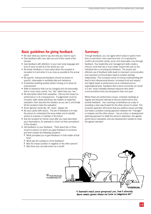### Basic guidelines for giving feedback

- Be clear what you want to say and why you need to say it
- Give feedback with care: take account of the needs of the receiver
- Give feedback with attention: to your own body language and tone of voice as well as to the words you use
- Be timely: feedback is most useful when the recipient is receptive to it and when it is as close as possible to the actual event
- Be specific: behavioural feedback should be based on specific, observable or verifiable data and behaviour
- Emphasise anything positive before moving on to areas for improvement
- Refer to behaviour that can be changed and not personality that in most cases cannot. You "did" rather than you "are."
- Be descriptive rather than evaluative. Discuss the impact on performance or its consequences. If judgements must be included, state clearly that these are matters of subjective evaluation, then describe the situation as you see it, and finally let the recipient make the evaluation
- Avoid 'general' words like 'all', 'never', 'always' etc
- Be very careful with advice. The aim of feedback is to help the person to understand the issue better and to identify actions to improve or maintain in the future
- Ask the recipient for his/her input after you have described your observations, for example to check out their perceptions of the situation
- Get feedback on your feedback. Think about two or three recent occasions on which you gave feedback to someone and then answer the following questions:
	- ? What prompted you to give feedback on that matter at that time?
	- ? What was the substance of the feedback?
	- ? Was the impact positive or negative on the other person?
	- ? Was there any concrete action as a result?

#### **Summary**

Through feedback, you can agree which areas to spend more time on and which ones need less time. It is important to confirm all uncertain verbal, vocal, and observable cues through feedback. Your leadership and management skills create a virtuous circle that has a much wider impact than just on the individual who is receiving the feedback. The proper and effective use of feedback skills leads to improved communication and improved communication leads to positive working relationships. This increased sense of mutual understanding will lead to less interpersonal tension, increased trust and respect, and higher levels of performance at an individual and an organisational level. Feedback that is done incorrectly can result in a win- loose mentality whereas everyone wins when communications lines are transparent clear and open.

Where there are performance issues, schedule meetings at regular and frequent intervals to discuss performance and provide feedback. Use coaching conversations as a way of providing a clear way forward for the other person to adopt. This proactive approach will ensure that you address issues promptly and foster a problem-solving approach between the "manager" or reviewer and the other person. Use an action or development planning approach to relate the person's objectives, the agreed performance standards, and any development needed to meet the agreed standard.



"I haven't read your proposal yet, but I already have some great ideas on how to improve it!"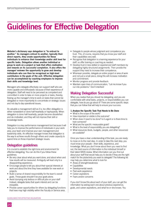# Guidelines for Effective Delegation

Webster's dictionary says delegation is "to entrust to another.'' As managers entrust to another, typically their direct reports, they create opportunities for these individuals to enhance their knowledge and/or skill level for specific tasks. Delegation allows another individual or group to work on a project or task that offers motivation and rewards on its successful completion. It also offers the manager/ reviewer the opportunity to grow and develop individuals who can then be recognised as high-level contributors in the goals of the unit. Effective delegation can be accomplished by coaching employees to improve their skills and knowledge level.

Managers who delegate effectively can support staff who are more capable and enthusiastic because of their experience of delegation. Staff will need to be perceived as competent and committed in order to take on more projects or tasks, thereby freeing up the manager's time to work on tasks that cannot be delegated or more importantly to concentrate on strategic issues and not day to day operational issues.

As valuable a management skill as it is, too often delegation is either nonexistent or done half-heartedly or haphazardly. When delegation is done half-heartedly, people become dissatisfied and de-motivated, and they will not improve their skill or knowledge levels.

Delegation is a key performance management tool because it will help you to improve the performance of individuals in your work area, your team and improve your own management and leadership skills. An effective manager knows that delegation is the way to achieve results through others and create capacity to spend time on those important strategic issues.

### Delegation guidelines

It is crucial to establish the right tone and environment for effective delegating. You can do this if you follow these guidelines:

- Be very clear about what you want done, and about when and how results will be measured. Ambiguity will lead only to a disappointing experience.
- Encourage people to tell you about their special interests at work and about the time they have available for new work or projects.
- Build a sense of shared responsibility for the team's overall goals. Those goals shouldn't be your goals alone.
- Avoid dumping only tedious or difficult jobs on your staff Instead, delegate tasks that spark interest and can be enjoyable.
- Provide career opportunities for others by delegating functions that have may high visibility within the Faculty or Service area.
- Delegate to people whose judgment and competence you trust. This, of course, requires that you know your staff and their capabilities very well.
- Recognise that delegation is a learning experience for your staff, so offer training or coaching as needed.
- Develop trust in less-skilled or experienced staff members by delegating highly structured assignments. Then provide the support they need to increase their competence.
- Whenever possible, delegate an entire project or area of work and not just a small piece; doing this will increase motivation and commitment.
- Monitor progress and provide feedback.
- Maintain open lines of communication, "Let me know if you run into problems." Don't interfere!

## Making Delegation Successful

When you realise that you should be delegating, and you are comfortable with what tasks, projects, or responsibilities you can delegate, how do you go about it? There are some specific steps that you can follow that will help to ensure your success.

#### 1.Analyse the Specific Task That Needs to Be Done

- What is the scope of the work?
- How important or visible is the outcome?
- When does it need to be done? Is it urgent or is there time to train someone?
- What are the specific measurable goals?
- What is the level of responsibility you are delegating?
- What resources (tools, budgets, people, and other resources) are available?

Once you have a clear understanding of the task, you are ready to move on to the next step. In order to take this next step, you must know your people—their skills, experience, and knowledge. What you don't know about them you need to find out, the best source of information is the individual himself or their latest SRDS review. What information can you find out about your staff that would help you to decide if they are the right match for the job/activity you want to delegate? The following list may help you determine what to look for:

- Areas of strength/weakness
- Canabilities
- Developmental needs
- Past work experience
- Career aspirations
- Fears and/or concerns

If you don't know this about each of your staff, you can get the information by asking each one about previous experience, goals, and career aspirations, and what he or she knows. You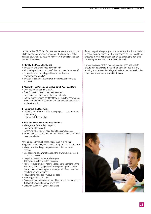can also review SRDS files for their past experience, and you can talk to their former reviewers or people who know them better than you do. Once you have the necessary information, you can proceed to step two.

#### 2.Identify the Person for the Job

- What skills and experience do you need?
- Whom do you have on your staff that can meet those needs?
- Is there time on the delegated task to use this as a developmental activity?
- What training and/or support will the individual need to be successful?

#### 3.Meet with the Person and Explain What You Need Done

- Describe the task and the goals.
- Specify why this person has been selected.
- Be specific about responsibilities and authority.
- Get the person's agreement that they will take this assignment. They need to be both confident and competent that they can achieve the task.

#### 4.Implement the Delegation

- Allow the individual to "run with the project''—don't interfere unnecessarily.
- Establish a follow-up plan.

#### 5.Hold the Follow-Up or progress Meetings

- Make yourself available for support.
- Discover problems early.
- Determine what you will need to do to ensure success.
- Praise what has been done well, and redirect what could have been done better.

As you proceed through these steps, keep in mind that delegation is a process, not an event. Keep the following in mind:

- Make the entire delegation process as collaborative as possible
- Use coaching as a way of keeping this a two way process in each of the five steps
- Keep the lines of communication open
- Tailor your monitoring to the individual
- Ask for regular progress reports (frequency depending on the individual). You may agree to use exception reports in order that you are not meeting unnecessarily and it feels more like checking up on the person
- Provide timely and constructive feedback
- Encourage solution thinking
- Recognise that mistakes are part of learning. (How can you do it differently/more effectively next time?)
- Celebrate successes (even small ones)

As you begin to delegate, you must remember that it is important to select the right person for the assignment. You will need to be prepared to work with that person on developing the new skills necessary for effective completion of the work.

Once a task is delegated you can use your coaching skills to ensure that not only are things still on track but also that any learning as a result of the delegated tasks is used to develop the other person in a robust and effective way.

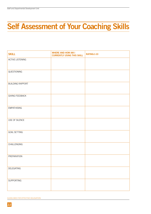# Self Assessment of Your Coaching Skills

| <b>SKILL</b>            | <b>WHERE AND HOW AM I</b><br><b>CURRENTLY USING THIS SKILL</b> | <b>RATING:1-10</b> |
|-------------------------|----------------------------------------------------------------|--------------------|
| ACTIVE LISTENING        |                                                                |                    |
| QUESTIONING             |                                                                |                    |
| <b>BUILDING RAPPORT</b> |                                                                |                    |
| <b>GIVING FEEDBACK</b>  |                                                                |                    |
| <b>EMPATHISING</b>      |                                                                |                    |
| USE OF SILENCE          |                                                                |                    |
| <b>GOAL SETTING</b>     |                                                                |                    |
| CHALLENGING             |                                                                |                    |
| PREPARATION             |                                                                |                    |
| <b>DELEGATING</b>       |                                                                |                    |
| <b>SUPPORTING</b>       |                                                                |                    |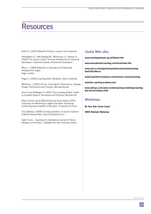# **Resources**

Bolton G. (2001) Reflective Practice, London, Paul Chapman.

Hardingham A., (with Brearley M., Moorhouse, A., Ventner, B. (2004) The Coach's Coach: Personal Development for Personal Developers. Chartered Institute of Personnel Developers.

Moon, J. (1999) Reflection in Learning and Professional Development, Kogan Page, London.

Rogers J. (2004) Coaching Skills Handbook, Open University.

Whitmore, J. (2002) 3rd ed., Coaching for Performance, Growing People, Performance and Purpose, Nicholas Brearly.

Zeus P. and Skiffington S. (2002) The Coaching at Work Toolkit: A complete Guide to Techniques and Practices, McGraw Hill.

Eileen Carnell, Jacqui MacDonald and Susan Askew (2007) Coaching and Mentoring in Higher Education: A learningcentred approach Institute of Education, University of London

Tony Stoltzfus, (2008) Coaching Questions: A Coach's Guide to Powerful Asking Skills, Coach22 Bookstore LLC

Taylor Fracis: Coaching: An International Journal of Theory, Research and Practice. Available from the University Library

### Useful Web sites

www.coachingnetwork.org.uk/Default.htm

www.associationforcoaching.com/home/index.htm

www.cipd.co.uk/subjects/lrnanddev/coachmntor/coaching. htm?IsSrchRes=1

www2.learndirect-business.com/business-courses/coaching

www.the-coaching-academy.com/

www.exforsys.com/career-center/coaching-mentoring/coachingtips-and-techniques.html

#### **Workshops**

Be Your Own Career Coach

SRDS Reviewer Workshop